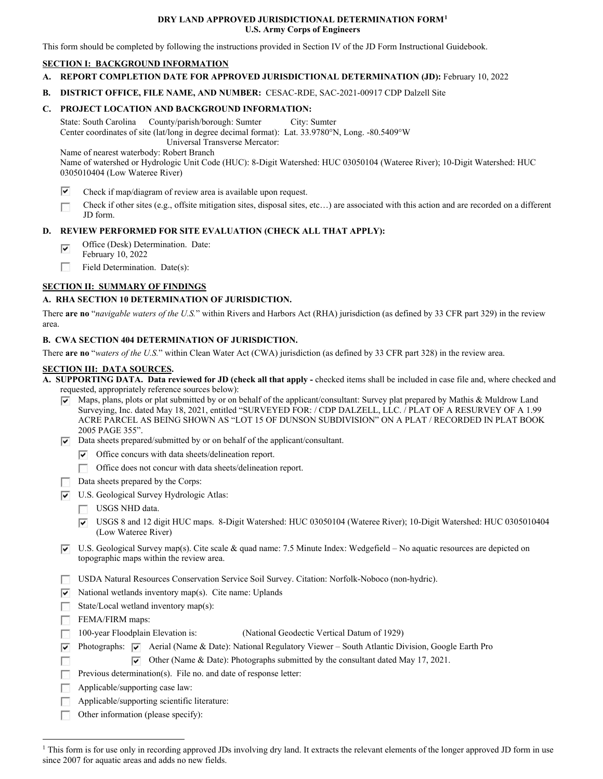#### **DRY LAND APPROVED JURISDICTIONAL DETERMINATION FORM[1](#page-0-0) U.S. Army Corps of Engineers**

This form should be completed by following the instructions provided in Section IV of the JD Form Instructional Guidebook.

# **SECTION I: BACKGROUND INFORMATION**

- **A. REPORT COMPLETION DATE FOR APPROVED JURISDICTIONAL DETERMINATION (JD):** February 10, 2022
- **B. DISTRICT OFFICE, FILE NAME, AND NUMBER:** CESAC-RDE, SAC-2021-00917 CDP Dalzell Site

# **C. PROJECT LOCATION AND BACKGROUND INFORMATION:**

 State: South Carolina County/parish/borough: Sumter City: Sumter Center coordinates of site (lat/long in degree decimal format): Lat. 33.9780°N, Long. -80.5409°W Universal Transverse Mercator:

Name of nearest waterbody: Robert Branch

 Name of watershed or Hydrologic Unit Code (HUC): 8-Digit Watershed: HUC 03050104 (Wateree River); 10-Digit Watershed: HUC 0305010404 (Low Wateree River)

- ⊽ Check if map/diagram of review area is available upon request.
- Check if other sites (e.g., offsite mitigation sites, disposal sites, etc…) are associated with this action and are recorded on a different □ JD form.

# **D. REVIEW PERFORMED FOR SITE EVALUATION (CHECK ALL THAT APPLY):**

- Office (Desk) Determination. Date:  $\overline{\mathbf{v}}$
- February 10, 2022
- □ Field Determination. Date(s):

# **SECTION II: SUMMARY OF FINDINGS**

# **A. RHA SECTION 10 DETERMINATION OF JURISDICTION.**

 There **are no** "*navigable waters of the U.S.*" within Rivers and Harbors Act (RHA) jurisdiction (as defined by 33 CFR part 329) in the review area.

# **B. CWA SECTION 404 DETERMINATION OF JURISDICTION.**

There **are no** "*waters of the U.S.*" within Clean Water Act (CWA) jurisdiction (as defined by 33 CFR part 328) in the review area.

#### **SECTION III: DATA SOURCES.**

| A. SUPPORTING DATA. Data reviewed for JD (check all that apply - checked items shall be included in case file and, where checked and |
|--------------------------------------------------------------------------------------------------------------------------------------|
| requested, appropriately reference sources below):                                                                                   |

- $\overline{\triangledown}$  Maps, plans, plots or plat submitted by or on behalf of the applicant/consultant: Survey plat prepared by Mathis & Muldrow Land Surveying, Inc. dated May 18, 2021, entitled "SURVEYED FOR: / CDP DALZELL, LLC. / PLAT OF A RESURVEY OF A 1.99 ACRE PARCEL AS BEING SHOWN AS "LOT 15 OF DUNSON SUBDIVISION" ON A PLAT / RECORDED IN PLAT BOOK 2005 PAGE 355".
- $\nabla$  Data sheets prepared/submitted by or on behalf of the applicant/consultant.
	- $\triangledown$  Office concurs with data sheets/delineation report.
	- □ Office does not concur with data sheets/delineation report.
- Data sheets prepared by the Corps:
- U.S. Geological Survey Hydrologic Atlas:
	- □ USGS NHD data.
	- 0 USGS 8 and 12 digit HUC maps. 8-Digit Watershed: HUC 03050104 (Wateree River); 10-Digit Watershed: HUC 0305010404 (Low Wateree River)
- $\nabla$  U.S. Geological Survey map(s). Cite scale & quad name: 7.5 Minute Index: Wedgefield No aquatic resources are depicted on topographic maps within the review area.
- □ USDA Natural Resources Conservation Service Soil Survey. Citation: Norfolk-Noboco (non-hydric).
- $\triangledown$  National wetlands inventory map(s). Cite name: Uplands
- □ State/Local wetland inventory map(s):

□ FEMA/FIRM maps:

- □ 100-year Floodplain Elevation is: (National Geodectic Vertical Datum of 1929)
- **Photographs: P** Aerial (Name & Date): National Regulatory Viewer South Atlantic Division, Google Earth Pro
	- $\triangledown$  Other (Name & Date): Photographs submitted by the consultant dated May 17, 2021.
- □ Pi <sup>I</sup> □ Previous determination(s). File no. and date of response letter:
- Applicable/supporting case law: □
- □ Applicable/supporting scientific literature:
- □ Other information (please specify):

<span id="page-0-0"></span><sup>&</sup>lt;sup>1</sup> This form is for use only in recording approved JDs involving dry land. It extracts the relevant elements of the longer approved JD form in use since 2007 for aquatic areas and adds no new fields.